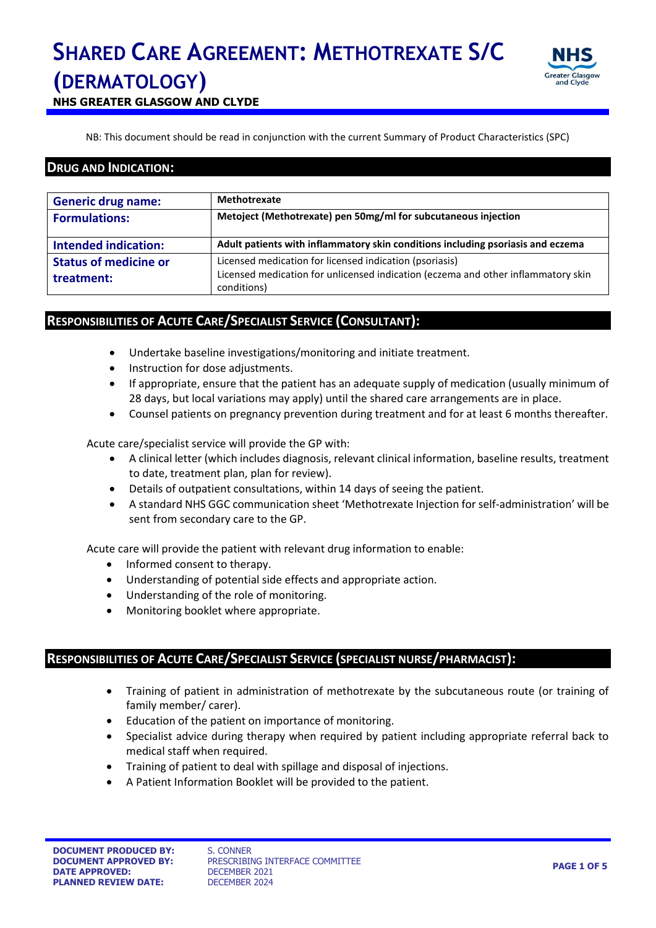

**NHS GREATER GLASGOW AND CLYDE**

NB: This document should be read in conjunction with the current Summary of Product Characteristics (SPC)

### **DRUG AND INDICATION:**

| <b>Generic drug name:</b>                  | <b>Methotrexate</b>                                                                                                                                         |
|--------------------------------------------|-------------------------------------------------------------------------------------------------------------------------------------------------------------|
| <b>Formulations:</b>                       | Metoject (Methotrexate) pen 50mg/ml for subcutaneous injection                                                                                              |
| <b>Intended indication:</b>                | Adult patients with inflammatory skin conditions including psoriasis and eczema                                                                             |
| <b>Status of medicine or</b><br>treatment: | Licensed medication for licensed indication (psoriasis)<br>Licensed medication for unlicensed indication (eczema and other inflammatory skin<br>conditions) |

### **RESPONSIBILITIES OF ACUTE CARE/SPECIALIST SERVICE (CONSULTANT):**

- Undertake baseline investigations/monitoring and initiate treatment.
- Instruction for dose adjustments.
- If appropriate, ensure that the patient has an adequate supply of medication (usually minimum of 28 days, but local variations may apply) until the shared care arrangements are in place.
- Counsel patients on pregnancy prevention during treatment and for at least 6 months thereafter.

Acute care/specialist service will provide the GP with:

- A clinical letter (which includes diagnosis, relevant clinical information, baseline results, treatment to date, treatment plan, plan for review).
- Details of outpatient consultations, within 14 days of seeing the patient.
- A standard NHS GGC communication sheet 'Methotrexate Injection for self-administration' will be sent from secondary care to the GP.

Acute care will provide the patient with relevant drug information to enable:

- Informed consent to therapy.
- Understanding of potential side effects and appropriate action.
- Understanding of the role of monitoring.
- Monitoring booklet where appropriate.

### **RESPONSIBILITIES OF ACUTE CARE/SPECIALIST SERVICE (SPECIALIST NURSE/PHARMACIST):**

- Training of patient in administration of methotrexate by the subcutaneous route (or training of family member/ carer).
- Education of the patient on importance of monitoring.
- Specialist advice during therapy when required by patient including appropriate referral back to medical staff when required.
- Training of patient to deal with spillage and disposal of injections.
- A Patient Information Booklet will be provided to the patient.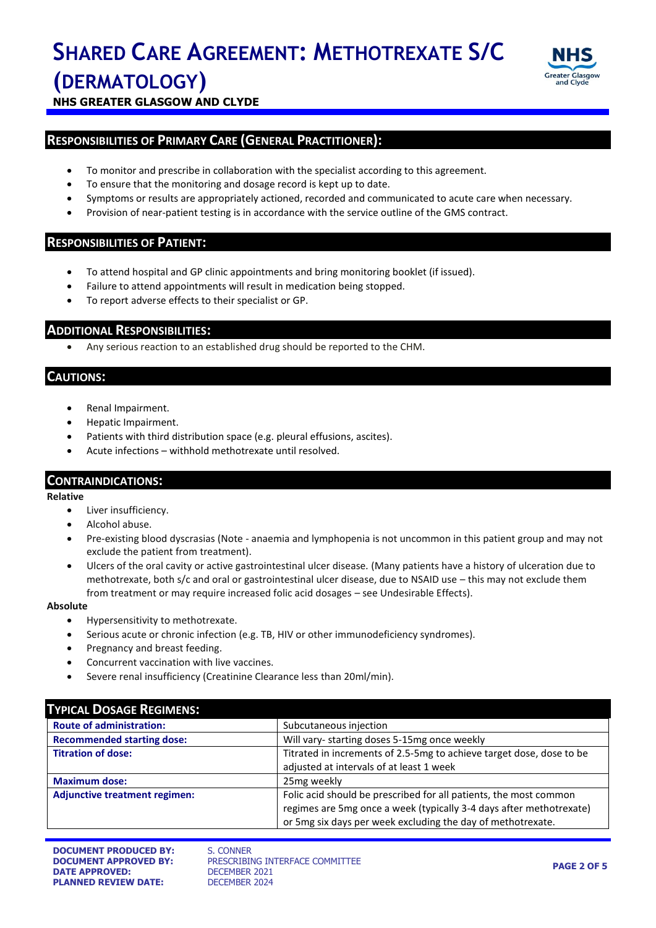

**NHS GREATER GLASGOW AND CLYDE**

### **RESPONSIBILITIES OF PRIMARY CARE (GENERAL PRACTITIONER):**

- To monitor and prescribe in collaboration with the specialist according to this agreement.
- To ensure that the monitoring and dosage record is kept up to date.
- Symptoms or results are appropriately actioned, recorded and communicated to acute care when necessary.
- Provision of near-patient testing is in accordance with the service outline of the GMS contract.

### **RESPONSIBILITIES OF PATIENT:**

- To attend hospital and GP clinic appointments and bring monitoring booklet (if issued).
- Failure to attend appointments will result in medication being stopped.
- To report adverse effects to their specialist or GP.

### **ADDITIONAL RESPONSIBILITIES:**

Any serious reaction to an established drug should be reported to the CHM.

### **CAUTIONS:**

- Renal Impairment.
- Hepatic Impairment.
- Patients with third distribution space (e.g. pleural effusions, ascites).
- Acute infections withhold methotrexate until resolved.

### **CONTRAINDICATIONS:**

### **Relative**

- Liver insufficiency.
- Alcohol abuse.
- Pre-existing blood dyscrasias (Note anaemia and lymphopenia is not uncommon in this patient group and may not exclude the patient from treatment).
- Ulcers of the oral cavity or active gastrointestinal ulcer disease*.* (Many patients have a history of ulceration due to methotrexate, both s/c and oral or gastrointestinal ulcer disease, due to NSAID use – this may not exclude them from treatment or may require increased folic acid dosages – see Undesirable Effects).

#### **Absolute**

- Hypersensitivity to methotrexate.
- Serious acute or chronic infection (e.g. TB, HIV or other immunodeficiency syndromes).
- Pregnancy and breast feeding.
- Concurrent vaccination with live vaccines.
- Severe renal insufficiency (Creatinine Clearance less than 20ml/min).

| <b>TYPICAL DOSAGE REGIMENS:</b>      |                                                                      |  |
|--------------------------------------|----------------------------------------------------------------------|--|
| <b>Route of administration:</b>      | Subcutaneous injection                                               |  |
| <b>Recommended starting dose:</b>    | Will vary- starting doses 5-15mg once weekly                         |  |
| <b>Titration of dose:</b>            | Titrated in increments of 2.5-5mg to achieve target dose, dose to be |  |
|                                      | adjusted at intervals of at least 1 week                             |  |
| <b>Maximum dose:</b>                 | 25 <sub>mg</sub> weekly                                              |  |
| <b>Adjunctive treatment regimen:</b> | Folic acid should be prescribed for all patients, the most common    |  |
|                                      | regimes are 5mg once a week (typically 3-4 days after methotrexate)  |  |
|                                      | or 5mg six days per week excluding the day of methotrexate.          |  |

**PRESCRIBING INTERFACE COMMITTEE**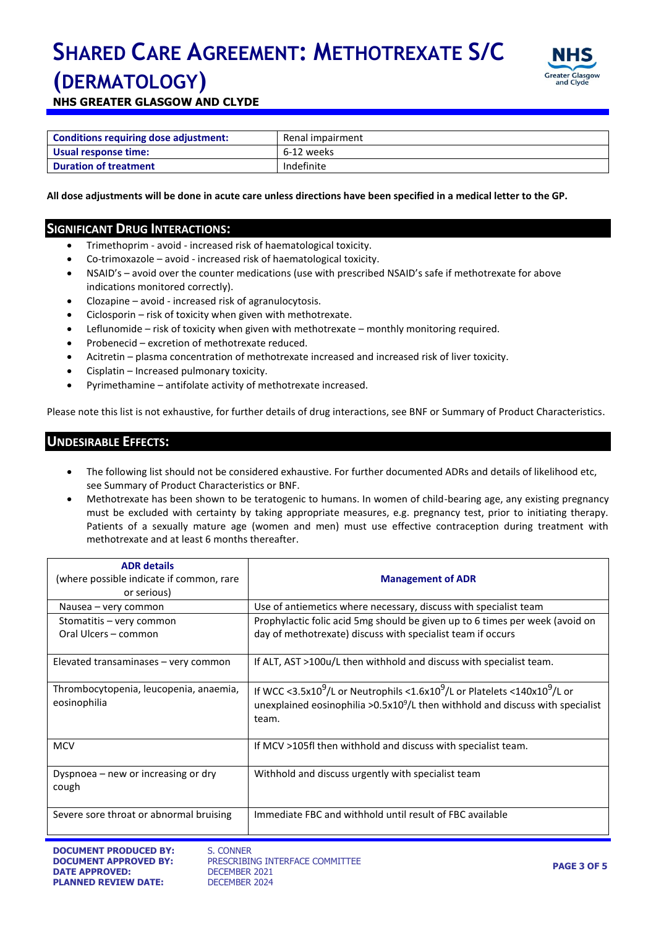

**NHS GREATER GLASGOW AND CLYDE**

| Conditions requiring dose adjustment: | Renal impairment |  |
|---------------------------------------|------------------|--|
| Usual response time:                  | 6-12 weeks       |  |
| <b>Duration of treatment</b>          | Indefinite       |  |

**All dose adjustments will be done in acute care unless directions have been specified in a medical letter to the GP.**

### **SIGNIFICANT DRUG INTERACTIONS:**

- Trimethoprim avoid increased risk of haematological toxicity.
- Co-trimoxazole avoid increased risk of haematological toxicity.
- NSAID's avoid over the counter medications (use with prescribed NSAID's safe if methotrexate for above indications monitored correctly).
- Clozapine avoid increased risk of agranulocytosis.
- Ciclosporin risk of toxicity when given with methotrexate.
- Leflunomide risk of toxicity when given with methotrexate monthly monitoring required.
- Probenecid excretion of methotrexate reduced.
- Acitretin plasma concentration of methotrexate increased and increased risk of liver toxicity.
- Cisplatin Increased pulmonary toxicity.
- Pyrimethamine antifolate activity of methotrexate increased.

Please note this list is not exhaustive, for further details of drug interactions, see BNF or Summary of Product Characteristics.

### **UNDESIRABLE EFFECTS:**

- The following list should not be considered exhaustive. For further documented ADRs and details of likelihood etc, see Summary of Product Characteristics or BNF.
- Methotrexate has been shown to be teratogenic to humans. In women of child-bearing age, any existing pregnancy must be excluded with certainty by taking appropriate measures, e.g. pregnancy test, prior to initiating therapy. Patients of a sexually mature age (women and men) must use effective contraception during treatment with methotrexate and at least 6 months thereafter.

| <b>ADR</b> details<br>(where possible indicate if common, rare<br>or serious) | <b>Management of ADR</b>                                                                                                                                                                                   |
|-------------------------------------------------------------------------------|------------------------------------------------------------------------------------------------------------------------------------------------------------------------------------------------------------|
| Nausea – very common                                                          | Use of antiemetics where necessary, discuss with specialist team                                                                                                                                           |
| Stomatitis - very common<br>Oral Ulcers - common                              | Prophylactic folic acid 5mg should be given up to 6 times per week (avoid on<br>day of methotrexate) discuss with specialist team if occurs                                                                |
| Elevated transaminases - very common                                          | If ALT, AST >100u/L then withhold and discuss with specialist team.                                                                                                                                        |
| Thrombocytopenia, leucopenia, anaemia,<br>eosinophilia                        | If WCC <3.5x10 <sup>9</sup> /L or Neutrophils <1.6x10 <sup>9</sup> /L or Platelets <140x10 <sup>9</sup> /L or<br>unexplained eosinophilia > $0.5x109/L$ then withhold and discuss with specialist<br>team. |
| <b>MCV</b>                                                                    | If MCV >105fl then withhold and discuss with specialist team.                                                                                                                                              |
| Dyspnoea – new or increasing or dry<br>cough                                  | Withhold and discuss urgently with specialist team                                                                                                                                                         |
| Severe sore throat or abnormal bruising                                       | Immediate FBC and withhold until result of FBC available                                                                                                                                                   |

PRESCRIBING INTERFACE COMMITTEE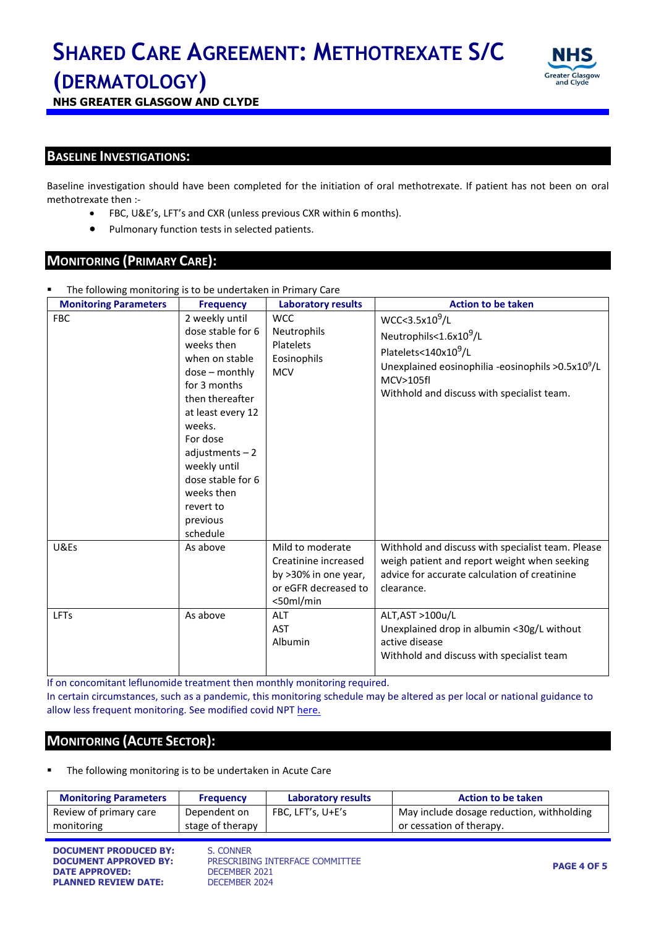

**NHS GREATER GLASGOW AND CLYDE**

### **BASELINE INVESTIGATIONS:**

Baseline investigation should have been completed for the initiation of oral methotrexate. If patient has not been on oral methotrexate then :-

- FBC, U&E's, LFT's and CXR (unless previous CXR within 6 months).
- Pulmonary function tests in selected patients.

### **MONITORING (PRIMARY CARE):**

| The following monitoring is to be undertaken in Primary Care |                                                                                                                                                                                                                                                                                    |                                                                                                        |                                                                                                                                                                                                                          |
|--------------------------------------------------------------|------------------------------------------------------------------------------------------------------------------------------------------------------------------------------------------------------------------------------------------------------------------------------------|--------------------------------------------------------------------------------------------------------|--------------------------------------------------------------------------------------------------------------------------------------------------------------------------------------------------------------------------|
| <b>Monitoring Parameters</b>                                 | <b>Frequency</b>                                                                                                                                                                                                                                                                   | <b>Laboratory results</b>                                                                              | <b>Action to be taken</b>                                                                                                                                                                                                |
| <b>FBC</b>                                                   | 2 weekly until<br>dose stable for 6<br>weeks then<br>when on stable<br>$dose$ – monthly<br>for 3 months<br>then thereafter<br>at least every 12<br>weeks.<br>For dose<br>$adjustments - 2$<br>weekly until<br>dose stable for 6<br>weeks then<br>revert to<br>previous<br>schedule | <b>WCC</b><br><b>Neutrophils</b><br>Platelets<br>Eosinophils<br><b>MCV</b>                             | WCC < 3.5x10 <sup>9</sup> /L<br>Neutrophils<1.6x10 <sup>9</sup> /L<br>Platelets<140x10 <sup>9</sup> /L<br>Unexplained eosinophilia -eosinophils $>0.5x10^9/L$<br>MCV>105fl<br>Withhold and discuss with specialist team. |
| U&Es                                                         | As above                                                                                                                                                                                                                                                                           | Mild to moderate<br>Creatinine increased<br>by >30% in one year,<br>or eGFR decreased to<br>$50ml/min$ | Withhold and discuss with specialist team. Please<br>weigh patient and report weight when seeking<br>advice for accurate calculation of creatinine<br>clearance.                                                         |
| <b>LFTs</b>                                                  | As above                                                                                                                                                                                                                                                                           | <b>ALT</b><br><b>AST</b><br>Albumin                                                                    | ALT, AST >100u/L<br>Unexplained drop in albumin <30g/L without<br>active disease<br>Withhold and discuss with specialist team                                                                                            |

If on concomitant leflunomide treatment then monthly monitoring required. In certain circumstances, such as a pandemic, this monitoring schedule may be altered as per local or national guidance to allow less frequent monitoring. See modified covid NPT [here.](https://www.nhsggc.org.uk/media/259856/modified-npt-monitoring-during-covid-19.docx)

### **MONITORING (ACUTE SECTOR):**

The following monitoring is to be undertaken in Acute Care

| <b>Monitoring Parameters</b> | <b>Frequency</b>            | Laboratory results | <b>Action to be taken</b>                 |
|------------------------------|-----------------------------|--------------------|-------------------------------------------|
| Review of primary care       | Dependent on                | FBC, LFT's, U+E's  | May include dosage reduction, withholding |
| monitoring                   | stage of therapy            |                    | or cessation of therapy.                  |
|                              |                             |                    |                                           |
| BAGULIELE BRABUAER BV        | $C$ $C$ $C$ $B$ $B$ $F$ $D$ |                    |                                           |

**DOCUMENT PRODUCED BY:** S. CONNER<br>**DOCUMENT APPROVED BY:** PRESCRIBI **DATE APPROVED:** DECEMBER 2021 **PLANNED REVIEW DATE:** DECEMBER 2024

PRESCRIBING INTERFACE COMMITTEE